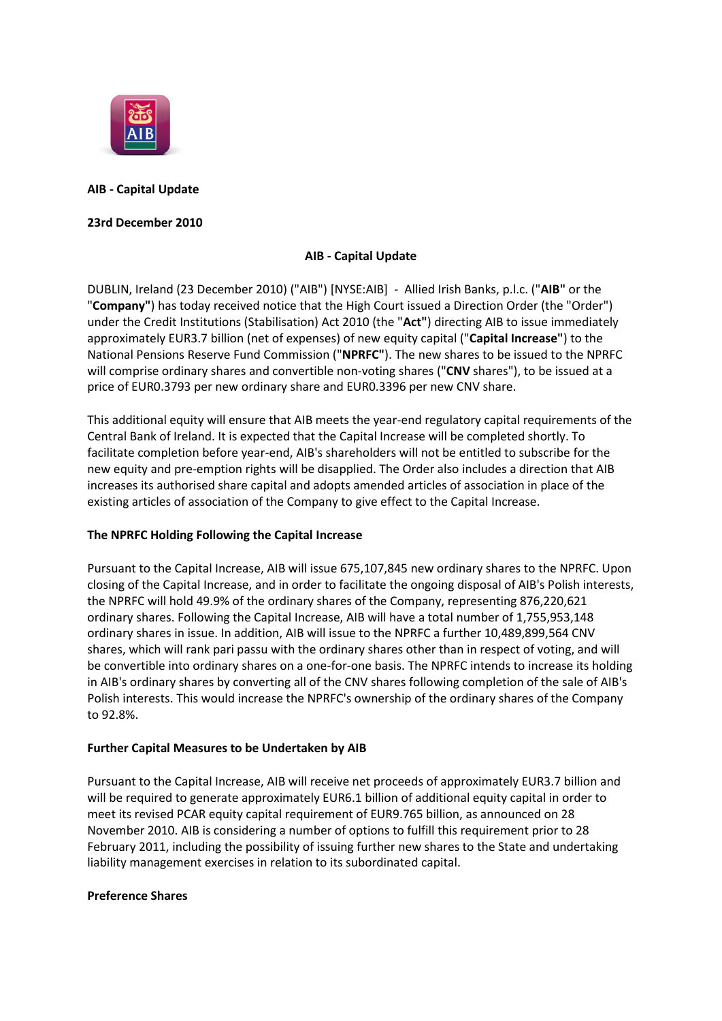

# **AIB - Capital Update**

## **23rd December 2010**

## **AIB - Capital Update**

DUBLIN, Ireland (23 December 2010) ("AIB") [NYSE:AIB] - Allied Irish Banks, p.l.c. ("**AIB"** or the "**Company"**) has today received notice that the High Court issued a Direction Order (the "Order") under the Credit Institutions (Stabilisation) Act 2010 (the "**Act"**) directing AIB to issue immediately approximately EUR3.7 billion (net of expenses) of new equity capital ("**Capital Increase"**) to the National Pensions Reserve Fund Commission ("**NPRFC"**). The new shares to be issued to the NPRFC will comprise ordinary shares and convertible non-voting shares ("**CNV** shares"), to be issued at a price of EUR0.3793 per new ordinary share and EUR0.3396 per new CNV share.

This additional equity will ensure that AIB meets the year-end regulatory capital requirements of the Central Bank of Ireland. It is expected that the Capital Increase will be completed shortly. To facilitate completion before year-end, AIB's shareholders will not be entitled to subscribe for the new equity and pre-emption rights will be disapplied. The Order also includes a direction that AIB increases its authorised share capital and adopts amended articles of association in place of the existing articles of association of the Company to give effect to the Capital Increase.

## **The NPRFC Holding Following the Capital Increase**

Pursuant to the Capital Increase, AIB will issue 675,107,845 new ordinary shares to the NPRFC. Upon closing of the Capital Increase, and in order to facilitate the ongoing disposal of AIB's Polish interests, the NPRFC will hold 49.9% of the ordinary shares of the Company, representing 876,220,621 ordinary shares. Following the Capital Increase, AIB will have a total number of 1,755,953,148 ordinary shares in issue. In addition, AIB will issue to the NPRFC a further 10,489,899,564 CNV shares, which will rank pari passu with the ordinary shares other than in respect of voting, and will be convertible into ordinary shares on a one-for-one basis. The NPRFC intends to increase its holding in AIB's ordinary shares by converting all of the CNV shares following completion of the sale of AIB's Polish interests. This would increase the NPRFC's ownership of the ordinary shares of the Company to 92.8%.

## **Further Capital Measures to be Undertaken by AIB**

Pursuant to the Capital Increase, AIB will receive net proceeds of approximately EUR3.7 billion and will be required to generate approximately EUR6.1 billion of additional equity capital in order to meet its revised PCAR equity capital requirement of EUR9.765 billion, as announced on 28 November 2010. AIB is considering a number of options to fulfill this requirement prior to 28 February 2011, including the possibility of issuing further new shares to the State and undertaking liability management exercises in relation to its subordinated capital.

#### **Preference Shares**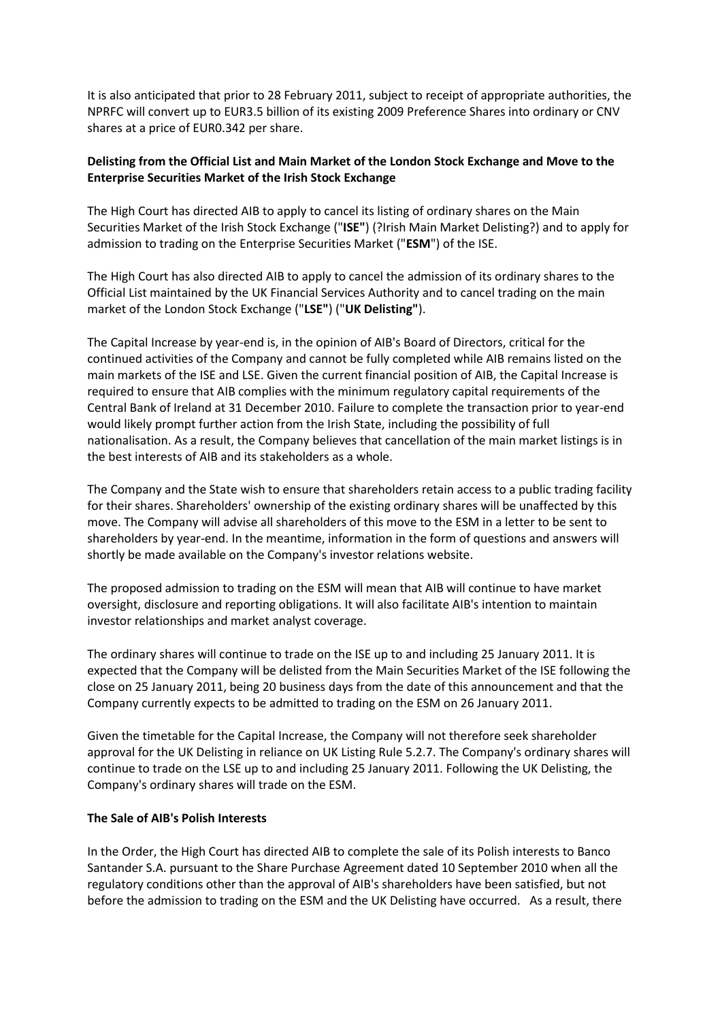It is also anticipated that prior to 28 February 2011, subject to receipt of appropriate authorities, the NPRFC will convert up to EUR3.5 billion of its existing 2009 Preference Shares into ordinary or CNV shares at a price of EUR0.342 per share.

## **Delisting from the Official List and Main Market of the London Stock Exchange and Move to the Enterprise Securities Market of the Irish Stock Exchange**

The High Court has directed AIB to apply to cancel its listing of ordinary shares on the Main Securities Market of the Irish Stock Exchange ("**ISE"**) (?Irish Main Market Delisting?) and to apply for admission to trading on the Enterprise Securities Market ("**ESM**") of the ISE.

The High Court has also directed AIB to apply to cancel the admission of its ordinary shares to the Official List maintained by the UK Financial Services Authority and to cancel trading on the main market of the London Stock Exchange ("**LSE"**) ("**UK Delisting"**).

The Capital Increase by year-end is, in the opinion of AIB's Board of Directors, critical for the continued activities of the Company and cannot be fully completed while AIB remains listed on the main markets of the ISE and LSE. Given the current financial position of AIB, the Capital Increase is required to ensure that AIB complies with the minimum regulatory capital requirements of the Central Bank of Ireland at 31 December 2010. Failure to complete the transaction prior to year-end would likely prompt further action from the Irish State, including the possibility of full nationalisation. As a result, the Company believes that cancellation of the main market listings is in the best interests of AIB and its stakeholders as a whole.

The Company and the State wish to ensure that shareholders retain access to a public trading facility for their shares. Shareholders' ownership of the existing ordinary shares will be unaffected by this move. The Company will advise all shareholders of this move to the ESM in a letter to be sent to shareholders by year-end. In the meantime, information in the form of questions and answers will shortly be made available on the Company's investor relations website.

The proposed admission to trading on the ESM will mean that AIB will continue to have market oversight, disclosure and reporting obligations. It will also facilitate AIB's intention to maintain investor relationships and market analyst coverage.

The ordinary shares will continue to trade on the ISE up to and including 25 January 2011. It is expected that the Company will be delisted from the Main Securities Market of the ISE following the close on 25 January 2011, being 20 business days from the date of this announcement and that the Company currently expects to be admitted to trading on the ESM on 26 January 2011.

Given the timetable for the Capital Increase, the Company will not therefore seek shareholder approval for the UK Delisting in reliance on UK Listing Rule 5.2.7. The Company's ordinary shares will continue to trade on the LSE up to and including 25 January 2011. Following the UK Delisting, the Company's ordinary shares will trade on the ESM.

#### **The Sale of AIB's Polish Interests**

In the Order, the High Court has directed AIB to complete the sale of its Polish interests to Banco Santander S.A. pursuant to the Share Purchase Agreement dated 10 September 2010 when all the regulatory conditions other than the approval of AIB's shareholders have been satisfied, but not before the admission to trading on the ESM and the UK Delisting have occurred. As a result, there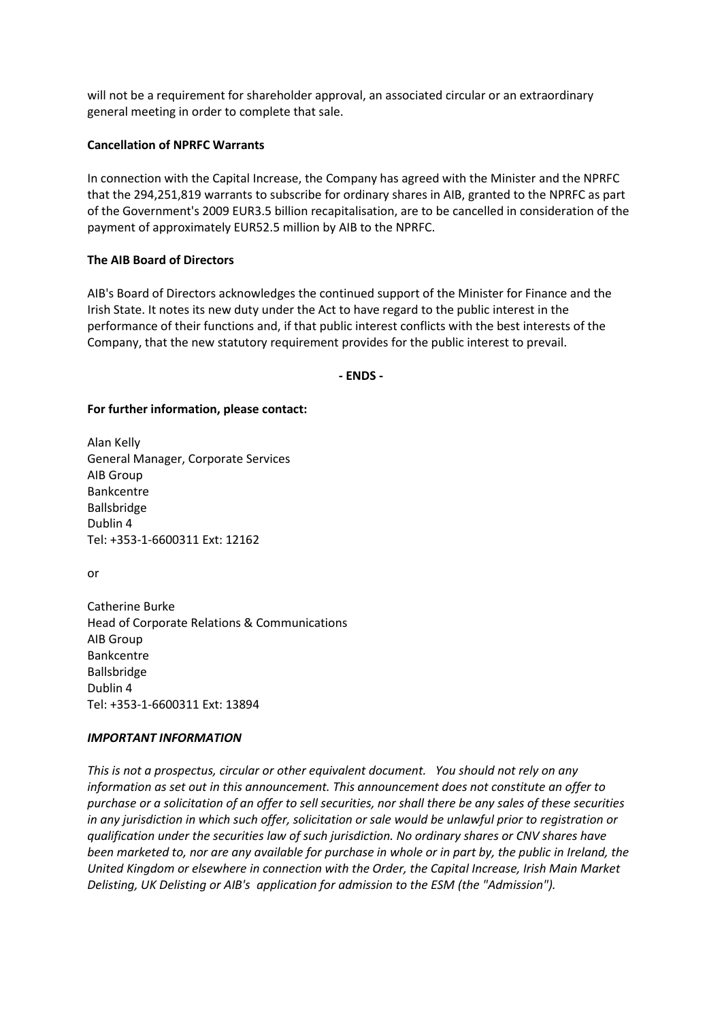will not be a requirement for shareholder approval, an associated circular or an extraordinary general meeting in order to complete that sale.

#### **Cancellation of NPRFC Warrants**

In connection with the Capital Increase, the Company has agreed with the Minister and the NPRFC that the 294,251,819 warrants to subscribe for ordinary shares in AIB, granted to the NPRFC as part of the Government's 2009 EUR3.5 billion recapitalisation, are to be cancelled in consideration of the payment of approximately EUR52.5 million by AIB to the NPRFC.

#### **The AIB Board of Directors**

AIB's Board of Directors acknowledges the continued support of the Minister for Finance and the Irish State. It notes its new duty under the Act to have regard to the public interest in the performance of their functions and, if that public interest conflicts with the best interests of the Company, that the new statutory requirement provides for the public interest to prevail.

**- ENDS -**

#### **For further information, please contact:**

Alan Kelly General Manager, Corporate Services AIB Group Bankcentre Ballsbridge Dublin 4 Tel: +353-1-6600311 Ext: 12162

or

Catherine Burke Head of Corporate Relations & Communications AIB Group Bankcentre Ballsbridge Dublin 4 Tel: +353-1-6600311 Ext: 13894

#### *IMPORTANT INFORMATION*

*This is not a prospectus, circular or other equivalent document. You should not rely on any information as set out in this announcement. This announcement does not constitute an offer to purchase or a solicitation of an offer to sell securities, nor shall there be any sales of these securities in any jurisdiction in which such offer, solicitation or sale would be unlawful prior to registration or qualification under the securities law of such jurisdiction. No ordinary shares or CNV shares have been marketed to, nor are any available for purchase in whole or in part by, the public in Ireland, the United Kingdom or elsewhere in connection with the Order, the Capital Increase, Irish Main Market Delisting, UK Delisting or AIB's application for admission to the ESM (the "Admission").*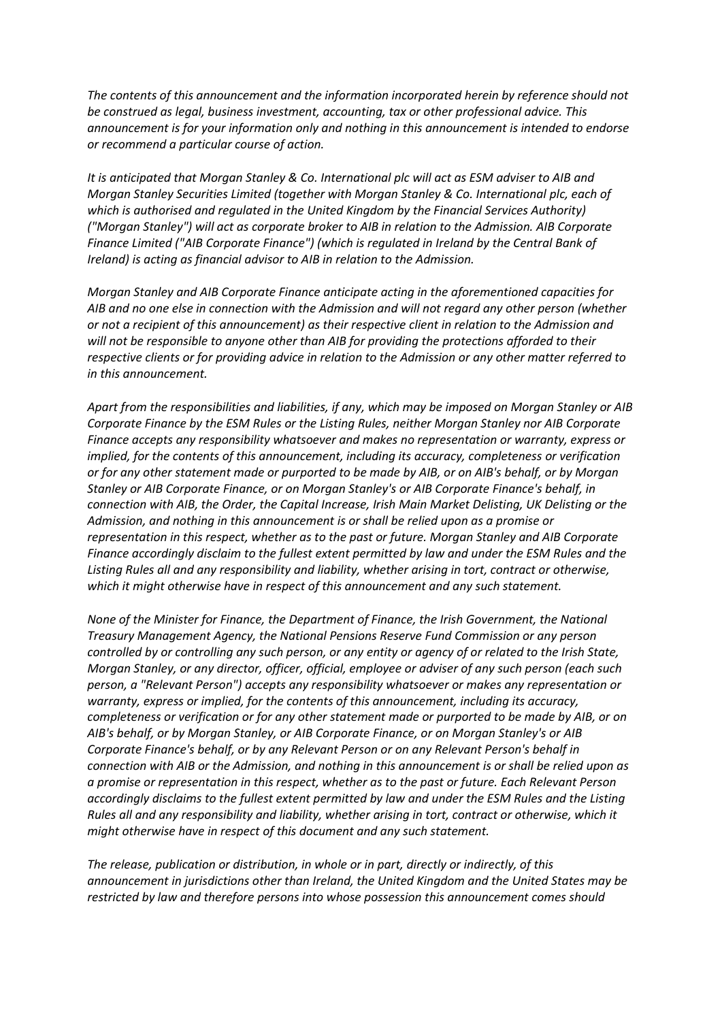*The contents of this announcement and the information incorporated herein by reference should not be construed as legal, business investment, accounting, tax or other professional advice. This announcement is for your information only and nothing in this announcement is intended to endorse or recommend a particular course of action.*

*It is anticipated that Morgan Stanley & Co. International plc will act as ESM adviser to AIB and Morgan Stanley Securities Limited (together with Morgan Stanley & Co. International plc, each of which is authorised and regulated in the United Kingdom by the Financial Services Authority) ("Morgan Stanley") will act as corporate broker to AIB in relation to the Admission. AIB Corporate Finance Limited ("AIB Corporate Finance") (which is regulated in Ireland by the Central Bank of Ireland) is acting as financial advisor to AIB in relation to the Admission.*

*Morgan Stanley and AIB Corporate Finance anticipate acting in the aforementioned capacities for AIB and no one else in connection with the Admission and will not regard any other person (whether or not a recipient of this announcement) as their respective client in relation to the Admission and will not be responsible to anyone other than AIB for providing the protections afforded to their respective clients or for providing advice in relation to the Admission or any other matter referred to in this announcement.*

*Apart from the responsibilities and liabilities, if any, which may be imposed on Morgan Stanley or AIB Corporate Finance by the ESM Rules or the Listing Rules, neither Morgan Stanley nor AIB Corporate Finance accepts any responsibility whatsoever and makes no representation or warranty, express or implied, for the contents of this announcement, including its accuracy, completeness or verification or for any other statement made or purported to be made by AIB, or on AIB's behalf, or by Morgan Stanley or AIB Corporate Finance, or on Morgan Stanley's or AIB Corporate Finance's behalf, in connection with AIB, the Order, the Capital Increase, Irish Main Market Delisting, UK Delisting or the Admission, and nothing in this announcement is or shall be relied upon as a promise or representation in this respect, whether as to the past or future. Morgan Stanley and AIB Corporate Finance accordingly disclaim to the fullest extent permitted by law and under the ESM Rules and the Listing Rules all and any responsibility and liability, whether arising in tort, contract or otherwise, which it might otherwise have in respect of this announcement and any such statement.*

*None of the Minister for Finance, the Department of Finance, the Irish Government, the National Treasury Management Agency, the National Pensions Reserve Fund Commission or any person controlled by or controlling any such person, or any entity or agency of or related to the Irish State, Morgan Stanley, or any director, officer, official, employee or adviser of any such person (each such person, a "Relevant Person") accepts any responsibility whatsoever or makes any representation or warranty, express or implied, for the contents of this announcement, including its accuracy, completeness or verification or for any other statement made or purported to be made by AIB, or on AIB's behalf, or by Morgan Stanley, or AIB Corporate Finance, or on Morgan Stanley's or AIB Corporate Finance's behalf, or by any Relevant Person or on any Relevant Person's behalf in connection with AIB or the Admission, and nothing in this announcement is or shall be relied upon as a promise or representation in this respect, whether as to the past or future. Each Relevant Person accordingly disclaims to the fullest extent permitted by law and under the ESM Rules and the Listing Rules all and any responsibility and liability, whether arising in tort, contract or otherwise, which it might otherwise have in respect of this document and any such statement.*

*The release, publication or distribution, in whole or in part, directly or indirectly, of this announcement in jurisdictions other than Ireland, the United Kingdom and the United States may be restricted by law and therefore persons into whose possession this announcement comes should*